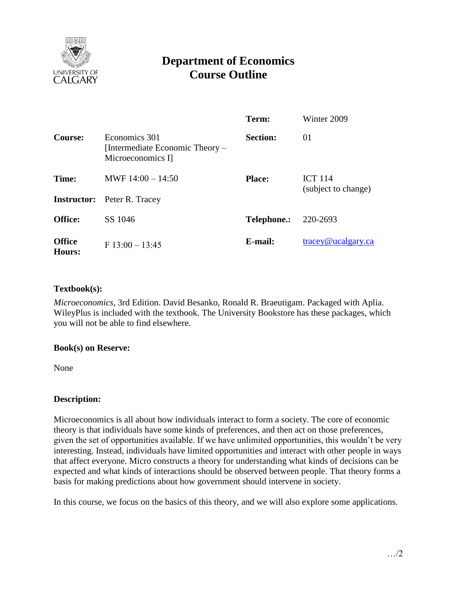

# **Department of Economics Course Outline**

|                         |                                                                       | Term:           | Winter 2009                           |
|-------------------------|-----------------------------------------------------------------------|-----------------|---------------------------------------|
| <b>Course:</b>          | Economics 301<br>[Intermediate Economic Theory –<br>Microeconomics I] | <b>Section:</b> | 01                                    |
| Time:                   | MWF $14:00 - 14:50$                                                   | <b>Place:</b>   | <b>ICT 114</b><br>(subject to change) |
|                         | <b>Instructor:</b> Peter R. Tracey                                    |                 |                                       |
| <b>Office:</b>          | SS 1046                                                               | Telephone.:     | 220-2693                              |
| <b>Office</b><br>Hours: | $F 13:00 - 13:45$                                                     | E-mail:         | $trace\$ <del>@ucalgary.ca</del>      |

#### **Textbook(s):**

*Microeconomics*, 3rd Edition. David Besanko, Ronald R. Braeutigam. Packaged with Aplia. WileyPlus is included with the textbook. The University Bookstore has these packages, which you will not be able to find elsewhere.

#### **Book(s) on Reserve:**

None

#### **Description:**

Microeconomics is all about how individuals interact to form a society. The core of economic theory is that individuals have some kinds of preferences, and then act on those preferences, given the set of opportunities available. If we have unlimited opportunities, this wouldn't be very interesting. Instead, individuals have limited opportunities and interact with other people in ways that affect everyone. Micro constructs a theory for understanding what kinds of decisions can be expected and what kinds of interactions should be observed between people. That theory forms a basis for making predictions about how government should intervene in society.

In this course, we focus on the basics of this theory, and we will also explore some applications.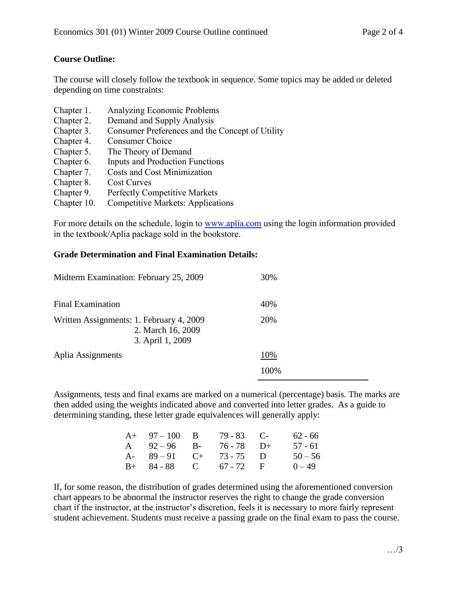## **Course Outline:**

The course will closely follow the textbook in sequence. Some topics may be added or deleted depending on time constraints:

- Chapter 1. Analyzing Economic Problems
- Chapter 2. Demand and Supply Analysis
- Chapter 3. Consumer Preferences and the Concept of Utility
- Chapter 4. Consumer Choice
- Chapter 5. The Theory of Demand
- Chapter 6. Inputs and Production Functions
- Chapter 7. Costs and Cost Minimization
- Chapter 8. Cost Curves
- Chapter 9. Perfectly Competitive Markets
- Chapter 10. Competitive Markets: Applications

For more details on the schedule, login to [www.aplia.com](http://www.aplia.com/) using the login information provided in the textbook/Aplia package sold in the bookstore.

### **Grade Determination and Final Examination Details:**

| Midterm Examination: February 25, 2009                                            | 30%  |
|-----------------------------------------------------------------------------------|------|
| <b>Final Examination</b>                                                          | 40%  |
| Written Assignments: 1. February 4, 2009<br>2. March 16, 2009<br>3. April 1, 2009 | 20%  |
| Aplia Assignments                                                                 | 10%  |
|                                                                                   | 100% |

Assignments, tests and final exams are marked on a numerical (percentage) basis. The marks are then added using the weights indicated above and converted into letter grades. As a guide to determining standing, these letter grade equivalences will generally apply:

| $A+ 97-100 B$          | $79 - 83$ C- | $62 - 66$ |
|------------------------|--------------|-----------|
| A $92-96$ B-           | 76 - 78 D+   | 57 - 61   |
| A- $89-91$ C+ 73-75 D  |              | $50 - 56$ |
| $B+ 84-88$ C 67 - 72 F |              | $0 - 49$  |

If, for some reason, the distribution of grades determined using the aforementioned conversion chart appears to be abnormal the instructor reserves the right to change the grade conversion chart if the instructor, at the instructor's discretion, feels it is necessary to more fairly represent student achievement. Students must receive a passing grade on the final exam to pass the course.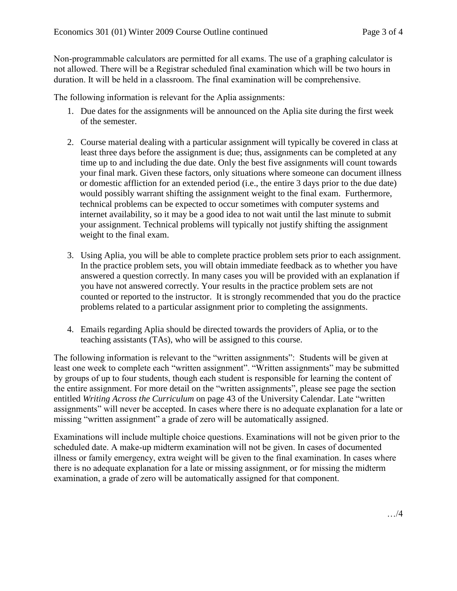Non-programmable calculators are permitted for all exams. The use of a graphing calculator is not allowed. There will be a Registrar scheduled final examination which will be two hours in duration. It will be held in a classroom. The final examination will be comprehensive.

The following information is relevant for the Aplia assignments:

- 1. Due dates for the assignments will be announced on the Aplia site during the first week of the semester.
- 2. Course material dealing with a particular assignment will typically be covered in class at least three days before the assignment is due; thus, assignments can be completed at any time up to and including the due date. Only the best five assignments will count towards your final mark. Given these factors, only situations where someone can document illness or domestic affliction for an extended period (i.e., the entire 3 days prior to the due date) would possibly warrant shifting the assignment weight to the final exam. Furthermore, technical problems can be expected to occur sometimes with computer systems and internet availability, so it may be a good idea to not wait until the last minute to submit your assignment. Technical problems will typically not justify shifting the assignment weight to the final exam.
- 3. Using Aplia, you will be able to complete practice problem sets prior to each assignment. In the practice problem sets, you will obtain immediate feedback as to whether you have answered a question correctly. In many cases you will be provided with an explanation if you have not answered correctly. Your results in the practice problem sets are not counted or reported to the instructor. It is strongly recommended that you do the practice problems related to a particular assignment prior to completing the assignments.
- 4. Emails regarding Aplia should be directed towards the providers of Aplia, or to the teaching assistants (TAs), who will be assigned to this course.

The following information is relevant to the "written assignments": Students will be given at least one week to complete each "written assignment". "Written assignments" may be submitted by groups of up to four students, though each student is responsible for learning the content of the entire assignment. For more detail on the "written assignments", please see page the section entitled *Writing Across the Curriculum* on page 43 of the University Calendar. Late "written assignments" will never be accepted. In cases where there is no adequate explanation for a late or missing "written assignment" a grade of zero will be automatically assigned.

Examinations will include multiple choice questions. Examinations will not be given prior to the scheduled date. A make-up midterm examination will not be given. In cases of documented illness or family emergency, extra weight will be given to the final examination. In cases where there is no adequate explanation for a late or missing assignment, or for missing the midterm examination, a grade of zero will be automatically assigned for that component.